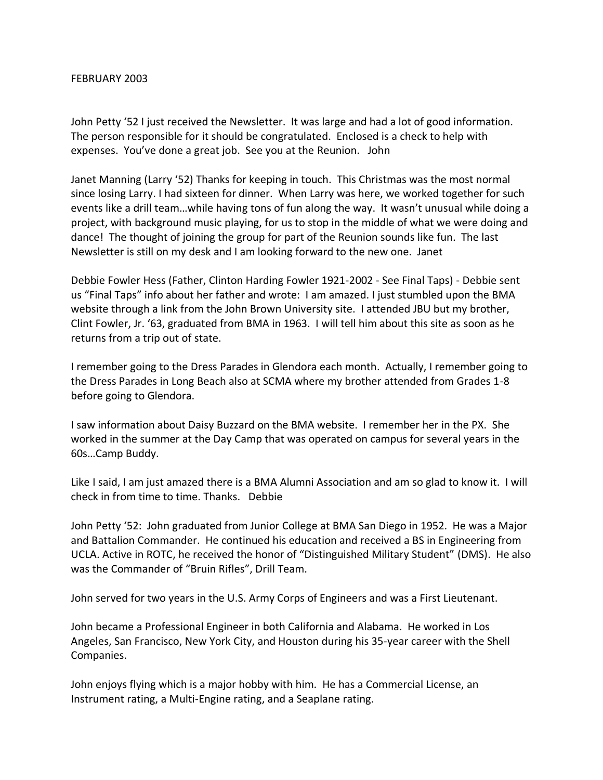## FEBRUARY 2003

John Petty '52 I just received the Newsletter. It was large and had a lot of good information. The person responsible for it should be congratulated. Enclosed is a check to help with expenses. You've done a great job. See you at the Reunion. John

Janet Manning (Larry '52) Thanks for keeping in touch. This Christmas was the most normal since losing Larry. I had sixteen for dinner. When Larry was here, we worked together for such events like a drill team…while having tons of fun along the way. It wasn't unusual while doing a project, with background music playing, for us to stop in the middle of what we were doing and dance! The thought of joining the group for part of the Reunion sounds like fun. The last Newsletter is still on my desk and I am looking forward to the new one. Janet

Debbie Fowler Hess (Father, Clinton Harding Fowler 1921-2002 - See Final Taps) - Debbie sent us "Final Taps" info about her father and wrote: I am amazed. I just stumbled upon the BMA website through a link from the John Brown University site. I attended JBU but my brother, Clint Fowler, Jr. '63, graduated from BMA in 1963. I will tell him about this site as soon as he returns from a trip out of state.

I remember going to the Dress Parades in Glendora each month. Actually, I remember going to the Dress Parades in Long Beach also at SCMA where my brother attended from Grades 1-8 before going to Glendora.

I saw information about Daisy Buzzard on the BMA website. I remember her in the PX. She worked in the summer at the Day Camp that was operated on campus for several years in the 60s…Camp Buddy.

Like I said, I am just amazed there is a BMA Alumni Association and am so glad to know it. I will check in from time to time. Thanks. Debbie

John Petty '52: John graduated from Junior College at BMA San Diego in 1952. He was a Major and Battalion Commander. He continued his education and received a BS in Engineering from UCLA. Active in ROTC, he received the honor of "Distinguished Military Student" (DMS). He also was the Commander of "Bruin Rifles", Drill Team.

John served for two years in the U.S. Army Corps of Engineers and was a First Lieutenant.

John became a Professional Engineer in both California and Alabama. He worked in Los Angeles, San Francisco, New York City, and Houston during his 35-year career with the Shell Companies.

John enjoys flying which is a major hobby with him. He has a Commercial License, an Instrument rating, a Multi-Engine rating, and a Seaplane rating.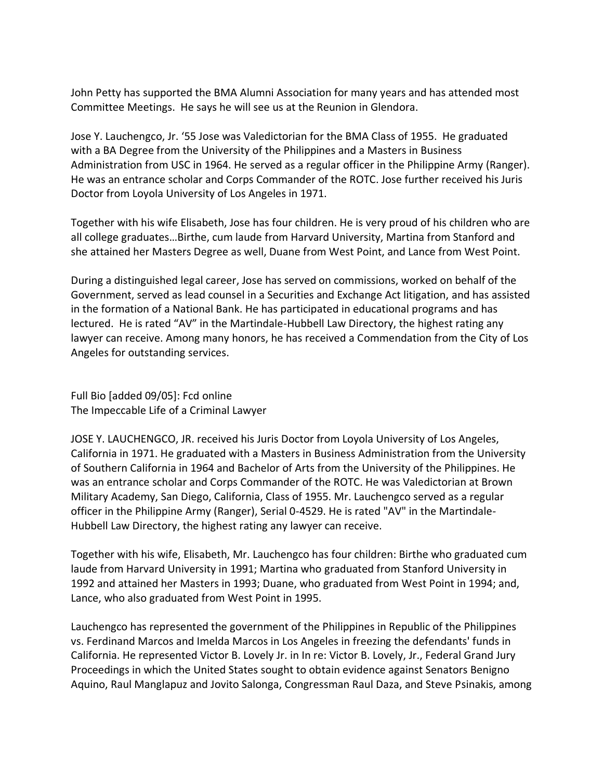John Petty has supported the BMA Alumni Association for many years and has attended most Committee Meetings. He says he will see us at the Reunion in Glendora.

Jose Y. Lauchengco, Jr. '55 Jose was Valedictorian for the BMA Class of 1955. He graduated with a BA Degree from the University of the Philippines and a Masters in Business Administration from USC in 1964. He served as a regular officer in the Philippine Army (Ranger). He was an entrance scholar and Corps Commander of the ROTC. Jose further received his Juris Doctor from Loyola University of Los Angeles in 1971.

Together with his wife Elisabeth, Jose has four children. He is very proud of his children who are all college graduates…Birthe, cum laude from Harvard University, Martina from Stanford and she attained her Masters Degree as well, Duane from West Point, and Lance from West Point.

During a distinguished legal career, Jose has served on commissions, worked on behalf of the Government, served as lead counsel in a Securities and Exchange Act litigation, and has assisted in the formation of a National Bank. He has participated in educational programs and has lectured. He is rated "AV" in the Martindale-Hubbell Law Directory, the highest rating any lawyer can receive. Among many honors, he has received a Commendation from the City of Los Angeles for outstanding services.

Full Bio [added 09/05]: Fcd online The Impeccable Life of a Criminal Lawyer

JOSE Y. LAUCHENGCO, JR. received his Juris Doctor from Loyola University of Los Angeles, California in 1971. He graduated with a Masters in Business Administration from the University of Southern California in 1964 and Bachelor of Arts from the University of the Philippines. He was an entrance scholar and Corps Commander of the ROTC. He was Valedictorian at Brown Military Academy, San Diego, California, Class of 1955. Mr. Lauchengco served as a regular officer in the Philippine Army (Ranger), Serial 0-4529. He is rated "AV" in the Martindale-Hubbell Law Directory, the highest rating any lawyer can receive.

Together with his wife, Elisabeth, Mr. Lauchengco has four children: Birthe who graduated cum laude from Harvard University in 1991; Martina who graduated from Stanford University in 1992 and attained her Masters in 1993; Duane, who graduated from West Point in 1994; and, Lance, who also graduated from West Point in 1995.

Lauchengco has represented the government of the Philippines in Republic of the Philippines vs. Ferdinand Marcos and Imelda Marcos in Los Angeles in freezing the defendants' funds in California. He represented Victor B. Lovely Jr. in In re: Victor B. Lovely, Jr., Federal Grand Jury Proceedings in which the United States sought to obtain evidence against Senators Benigno Aquino, Raul Manglapuz and Jovito Salonga, Congressman Raul Daza, and Steve Psinakis, among